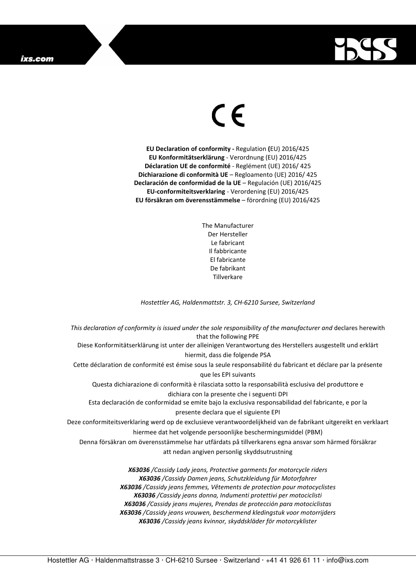## ixs.com



## $\in$   $\epsilon$

**EU Declaration of conformity -** Regulation **(**EU) 2016/425 **EU Konformitätserklärung** - Verordnung (EU) 2016/425 **Déclaration UE de conformité** - Reglément (UE) 2016/ 425 **Dichiarazione di conformità UE** – Regloamento (UE) 2016/ 425 **Declaración de conformidad de la UE** – Regulación (UE) 2016/425 **EU-conformiteitsverklaring** - Verordening (EU) 2016/425 **EU försäkran om överensstämmelse** – förordning (EU) 2016/425

> The Manufacturer Der Hersteller Le fabricant Il fabbricante El fabricante De fabrikant **Tillverkare**

*Hostettler AG, Haldenmattstr. 3, CH-6210 Sursee, Switzerland* 

*This declaration of conformity is issued under the sole responsibility of the manufacturer and* declares herewith that the following PPE Diese Konformitätserklärung ist unter der alleinigen Verantwortung des Herstellers ausgestellt und erklärt hiermit, dass die folgende PSA Cette déclaration de conformité est émise sous la seule responsabilité du fabricant et déclare par la présente que les EPI suivants Questa dichiarazione di conformità è rilasciata sotto la responsabilità esclusiva del produttore e dichiara con la presente che i seguenti DPI Esta declaración de conformidad se emite bajo la exclusiva responsabilidad del fabricante, e por la presente declara que el siguiente EPI Deze conformiteitsverklaring werd op de exclusieve verantwoordelijkheid van de fabrikant uitgereikt en verklaart hiermee dat het volgende persoonlijke beschermingsmiddel (PBM) Denna försäkran om överensstämmelse har utfärdats på tillverkarens egna ansvar som härmed försäkrar att nedan angiven personlig skyddsutrustning *X63036 /Cassidy Lady jeans, Protective garments for motorcycle riders X63036 /Cassidy Damen jeans, Schutzkleidung für Motorfahrer X63036 /Cassidy jeans femmes, Vêtements de protection pour motocyclistes X63036 /Cassidy jeans donna, Indumenti protettivi per motociclisti* 

*X63036 /Cassidy jeans mujeres, Prendas de protección para motociclistas X63036 /Cassidy jeans vrouwen, beschermend kledingstuk voor motorrijders* 

*X63036 /Cassidy jeans kvinnor, skyddskläder för motorcyklister*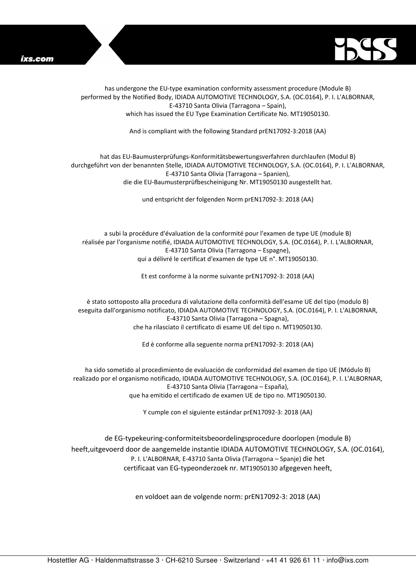



has undergone the EU-type examination conformity assessment procedure (Module B) performed by the Notified Body, IDIADA AUTOMOTIVE TECHNOLOGY, S.A. (OC.0164), P. I. L'ALBORNAR, E-43710 Santa Olivia (Tarragona – Spain), which has issued the EU Type Examination Certificate No. MT19050130.

And is compliant with the following Standard prEN17092-3:2018 (AA)

## hat das EU-Baumusterprüfungs-Konformitätsbewertungsverfahren durchlaufen (Modul B) durchgeführt von der benannten Stelle, IDIADA AUTOMOTIVE TECHNOLOGY, S.A. (OC.0164), P. I. L'ALBORNAR, E-43710 Santa Olivia (Tarragona – Spanien), die die EU-Baumusterprüfbescheinigung Nr. MT19050130 ausgestellt hat.

und entspricht der folgenden Norm prEN17092-3: 2018 (AA)

a subi la procédure d'évaluation de la conformité pour l'examen de type UE (module B) réalisée par l'organisme notifié, IDIADA AUTOMOTIVE TECHNOLOGY, S.A. (OC.0164), P. I. L'ALBORNAR, E-43710 Santa Olivia (Tarragona – Espagne), qui a délivré le certificat d'examen de type UE n°. MT19050130.

Et est conforme à la norme suivante prEN17092-3: 2018 (AA)

è stato sottoposto alla procedura di valutazione della conformità dell'esame UE del tipo (modulo B) eseguita dall'organismo notificato, IDIADA AUTOMOTIVE TECHNOLOGY, S.A. (OC.0164), P. I. L'ALBORNAR, E-43710 Santa Olivia (Tarragona – Spagna), che ha rilasciato il certificato di esame UE del tipo n. MT19050130.

Ed è conforme alla seguente norma prEN17092-3: 2018 (AA)

ha sido sometido al procedimiento de evaluación de conformidad del examen de tipo UE (Módulo B) realizado por el organismo notificado, IDIADA AUTOMOTIVE TECHNOLOGY, S.A. (OC.0164), P. I. L'ALBORNAR, E-43710 Santa Olivia (Tarragona – España), que ha emitido el certificado de examen UE de tipo no. MT19050130.

Y cumple con el siguiente estándar prEN17092-3: 2018 (AA)

de EG-typekeuring-conformiteitsbeoordelingsprocedure doorlopen (module B) heeft,uitgevoerd door de aangemelde instantie IDIADA AUTOMOTIVE TECHNOLOGY, S.A. (OC.0164), P. I. L'ALBORNAR, E-43710 Santa Olivia (Tarragona – Spanje) die het certificaat van EG-typeonderzoek nr. MT19050130 afgegeven heeft,

en voldoet aan de volgende norm: prEN17092-3: 2018 (AA)